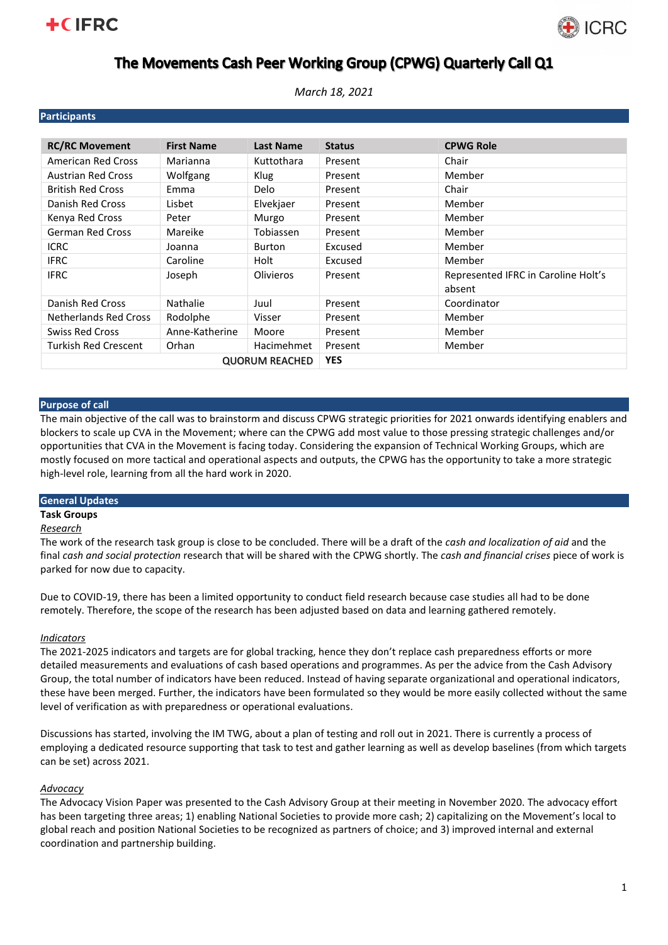# **+CIFRC**



# The Movements Cash Peer Working Group (CPWG) Quarterly Call Q1

*March 18, 2021*

| <b>Participants</b>          |                   |                  |               |                                               |
|------------------------------|-------------------|------------------|---------------|-----------------------------------------------|
|                              |                   |                  |               |                                               |
| <b>RC/RC Movement</b>        | <b>First Name</b> | <b>Last Name</b> | <b>Status</b> | <b>CPWG Role</b>                              |
| American Red Cross           | Marianna          | Kuttothara       | Present       | Chair                                         |
| <b>Austrian Red Cross</b>    | Wolfgang          | Klug             | Present       | Member                                        |
| <b>British Red Cross</b>     | Emma              | Delo             | Present       | Chair                                         |
| Danish Red Cross             | Lisbet            | Elvekjaer        | Present       | Member                                        |
| Kenya Red Cross              | Peter             | Murgo            | Present       | Member                                        |
| <b>German Red Cross</b>      | Mareike           | Tobiassen        | Present       | Member                                        |
| <b>ICRC</b>                  | Joanna            | <b>Burton</b>    | Excused       | Member                                        |
| <b>IFRC</b>                  | Caroline          | Holt             | Excused       | Member                                        |
| <b>IFRC</b>                  | Joseph            | <b>Olivieros</b> | Present       | Represented IFRC in Caroline Holt's<br>absent |
| Danish Red Cross             | Nathalie          | Juul             | Present       | Coordinator                                   |
| <b>Netherlands Red Cross</b> | Rodolphe          | Visser           | Present       | Member                                        |
| <b>Swiss Red Cross</b>       | Anne-Katherine    | Moore            | Present       | Member                                        |
| <b>Turkish Red Crescent</b>  | Orhan             | Hacimehmet       | Present       | Member                                        |
| <b>QUORUM REACHED</b>        |                   |                  | <b>YES</b>    |                                               |

## **Purpose of call**

The main objective of the call was to brainstorm and discuss CPWG strategic priorities for 2021 onwards identifying enablers and blockers to scale up CVA in the Movement; where can the CPWG add most value to those pressing strategic challenges and/or opportunities that CVA in the Movement is facing today. Considering the expansion of Technical Working Groups, which are mostly focused on more tactical and operational aspects and outputs, the CPWG has the opportunity to take a more strategic high-level role, learning from all the hard work in 2020.

## **General Updates**

# **Task Groups**

#### *Research*

The work of the research task group is close to be concluded. There will be a draft of the *cash and localization of aid* and the final *cash and social protection* research that will be shared with the CPWG shortly. The *cash and financial crises* piece of work is parked for now due to capacity.

Due to COVID-19, there has been a limited opportunity to conduct field research because case studies all had to be done remotely. Therefore, the scope of the research has been adjusted based on data and learning gathered remotely.

## *Indicators*

The 2021-2025 indicators and targets are for global tracking, hence they don't replace cash preparedness efforts or more detailed measurements and evaluations of cash based operations and programmes. As per the advice from the Cash Advisory Group, the total number of indicators have been reduced. Instead of having separate organizational and operational indicators, these have been merged. Further, the indicators have been formulated so they would be more easily collected without the same level of verification as with preparedness or operational evaluations.

Discussions has started, involving the IM TWG, about a plan of testing and roll out in 2021. There is currently a process of employing a dedicated resource supporting that task to test and gather learning as well as develop baselines (from which targets can be set) across 2021.

#### *Advocacy*

The Advocacy Vision Paper was presented to the Cash Advisory Group at their meeting in November 2020. The advocacy effort has been targeting three areas; 1) enabling National Societies to provide more cash; 2) capitalizing on the Movement's local to global reach and position National Societies to be recognized as partners of choice; and 3) improved internal and external coordination and partnership building.